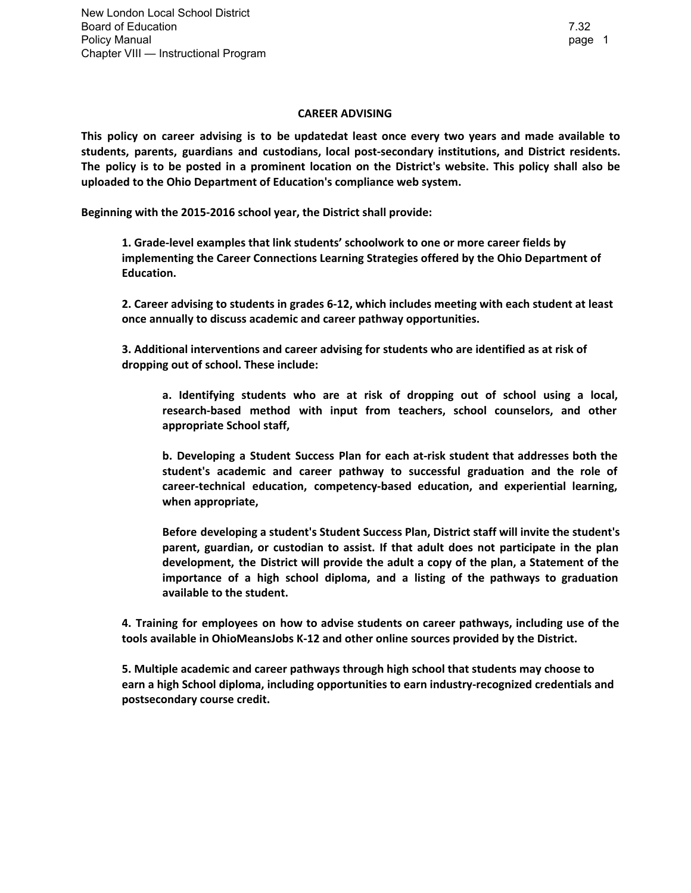## **CAREER ADVISING**

**This policy on career advising is to be updatedat least once every two years and made available to students, parents, guardians and custodians, local post-secondary institutions, and District residents.** The policy is to be posted in a prominent location on the District's website. This policy shall also be **uploaded to the Ohio Department of Education's compliance web system.**

**Beginning with the 2015-2016 school year, the District shall provide:**

**1. Grade-level examples that link students' schoolwork to one or more career fields by implementing the Career Connections Learning Strategies offered by the Ohio Department of Education.**

**2. Career advising to students in grades 6-12, which includes meeting with each student at least once annually to discuss academic and career pathway opportunities.**

**3. Additional interventions and career advising for students who are identified as at risk of dropping out of school. These include:**

**a. Identifying students who are at risk of dropping out of school using a local, research-based method with input from teachers, school counselors, and other appropriate School staff,**

**b. Developing a Student Success Plan for each at-risk student that addresses both the student's academic and career pathway to successful graduation and the role of career-technical education, competency-based education, and experiential learning, when appropriate,**

**Before developing a student's Student Success Plan, District staff will invite the student's parent, guardian, or custodian to assist. If that adult does not participate in the plan development, the District will provide the adult a copy of the plan, a Statement of the importance of a high school diploma, and a listing of the pathways to graduation available to the student.**

**4. Training for employees on how to advise students on career pathways, including use of the tools available in OhioMeansJobs K-12 and other online sources provided by the District.**

**5. Multiple academic and career pathways through high school that students may choose to earn a high School diploma, including opportunities to earn industry-recognized credentials and postsecondary course credit.**